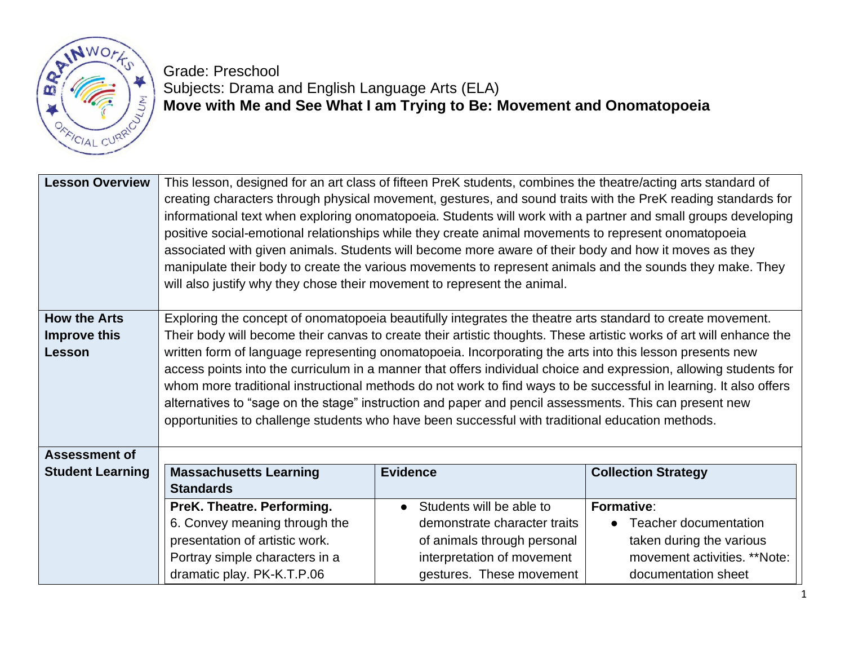

Grade: Preschool

# Subjects: Drama and English Language Arts (ELA) **Move with Me and See What I am Trying to Be: Movement and Onomatopoeia**

| <b>Lesson Overview</b>                     | This lesson, designed for an art class of fifteen PreK students, combines the theatre/acting arts standard of<br>creating characters through physical movement, gestures, and sound traits with the PreK reading standards for<br>informational text when exploring onomatopoeia. Students will work with a partner and small groups developing<br>positive social-emotional relationships while they create animal movements to represent onomatopoeia<br>associated with given animals. Students will become more aware of their body and how it moves as they<br>manipulate their body to create the various movements to represent animals and the sounds they make. They<br>will also justify why they chose their movement to represent the animal. |                                                        |                                                     |
|--------------------------------------------|-----------------------------------------------------------------------------------------------------------------------------------------------------------------------------------------------------------------------------------------------------------------------------------------------------------------------------------------------------------------------------------------------------------------------------------------------------------------------------------------------------------------------------------------------------------------------------------------------------------------------------------------------------------------------------------------------------------------------------------------------------------|--------------------------------------------------------|-----------------------------------------------------|
| <b>How the Arts</b><br><b>Improve this</b> | Exploring the concept of onomatopoeia beautifully integrates the theatre arts standard to create movement.                                                                                                                                                                                                                                                                                                                                                                                                                                                                                                                                                                                                                                                |                                                        |                                                     |
| Lesson                                     | Their body will become their canvas to create their artistic thoughts. These artistic works of art will enhance the<br>written form of language representing onomatopoeia. Incorporating the arts into this lesson presents new<br>access points into the curriculum in a manner that offers individual choice and expression, allowing students for<br>whom more traditional instructional methods do not work to find ways to be successful in learning. It also offers<br>alternatives to "sage on the stage" instruction and paper and pencil assessments. This can present new<br>opportunities to challenge students who have been successful with traditional education methods.                                                                   |                                                        |                                                     |
| <b>Assessment of</b>                       |                                                                                                                                                                                                                                                                                                                                                                                                                                                                                                                                                                                                                                                                                                                                                           |                                                        |                                                     |
| <b>Student Learning</b>                    | <b>Massachusetts Learning</b><br><b>Standards</b>                                                                                                                                                                                                                                                                                                                                                                                                                                                                                                                                                                                                                                                                                                         | <b>Evidence</b>                                        | <b>Collection Strategy</b>                          |
|                                            | PreK. Theatre. Performing.                                                                                                                                                                                                                                                                                                                                                                                                                                                                                                                                                                                                                                                                                                                                | Students will be able to                               | Formative:                                          |
|                                            | 6. Convey meaning through the                                                                                                                                                                                                                                                                                                                                                                                                                                                                                                                                                                                                                                                                                                                             | demonstrate character traits                           | Teacher documentation<br>$\bullet$                  |
|                                            | presentation of artistic work.                                                                                                                                                                                                                                                                                                                                                                                                                                                                                                                                                                                                                                                                                                                            | of animals through personal                            | taken during the various                            |
|                                            | Portray simple characters in a<br>dramatic play. PK-K.T.P.06                                                                                                                                                                                                                                                                                                                                                                                                                                                                                                                                                                                                                                                                                              | interpretation of movement<br>gestures. These movement | movement activities. **Note:<br>documentation sheet |
|                                            |                                                                                                                                                                                                                                                                                                                                                                                                                                                                                                                                                                                                                                                                                                                                                           |                                                        |                                                     |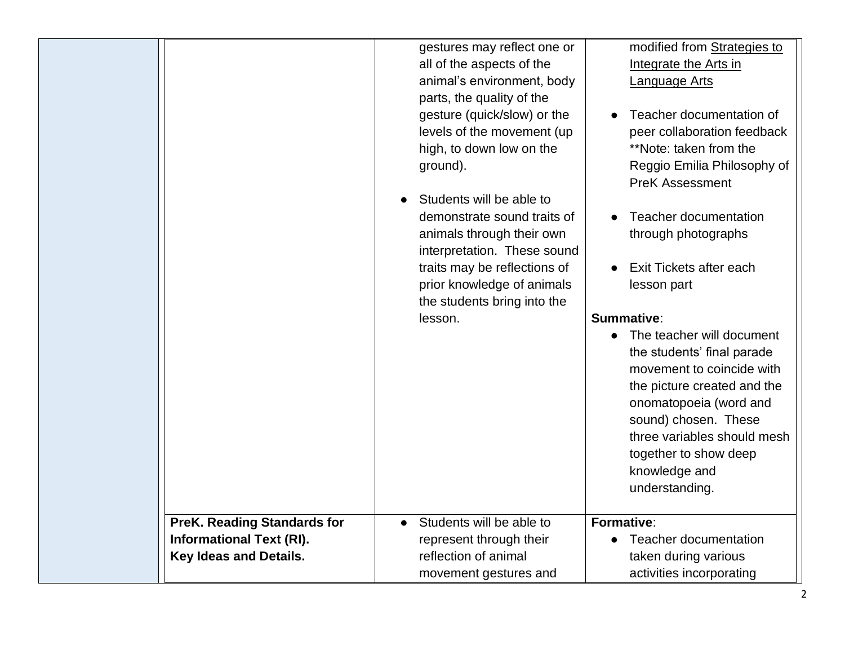|                                    | gestures may reflect one or           | modified from Strategies to            |
|------------------------------------|---------------------------------------|----------------------------------------|
|                                    | all of the aspects of the             | Integrate the Arts in                  |
|                                    | animal's environment, body            | Language Arts                          |
|                                    | parts, the quality of the             |                                        |
|                                    | gesture (quick/slow) or the           | Teacher documentation of               |
|                                    | levels of the movement (up            | peer collaboration feedback            |
|                                    | high, to down low on the              | **Note: taken from the                 |
|                                    | ground).                              | Reggio Emilia Philosophy of            |
|                                    |                                       | <b>PreK Assessment</b>                 |
|                                    | Students will be able to              |                                        |
|                                    | demonstrate sound traits of           | <b>Teacher documentation</b>           |
|                                    | animals through their own             | through photographs                    |
|                                    | interpretation. These sound           |                                        |
|                                    | traits may be reflections of          | Exit Tickets after each                |
|                                    | prior knowledge of animals            | lesson part                            |
|                                    | the students bring into the           |                                        |
|                                    | lesson.                               | Summative:                             |
|                                    |                                       | The teacher will document<br>$\bullet$ |
|                                    |                                       | the students' final parade             |
|                                    |                                       | movement to coincide with              |
|                                    |                                       | the picture created and the            |
|                                    |                                       | onomatopoeia (word and                 |
|                                    |                                       | sound) chosen. These                   |
|                                    |                                       | three variables should mesh            |
|                                    |                                       | together to show deep                  |
|                                    |                                       | knowledge and                          |
|                                    |                                       | understanding.                         |
|                                    |                                       |                                        |
| <b>PreK. Reading Standards for</b> | Students will be able to<br>$\bullet$ | Formative:                             |
| <b>Informational Text (RI).</b>    | represent through their               | <b>Teacher documentation</b>           |
| Key Ideas and Details.             | reflection of animal                  | taken during various                   |
|                                    | movement gestures and                 | activities incorporating               |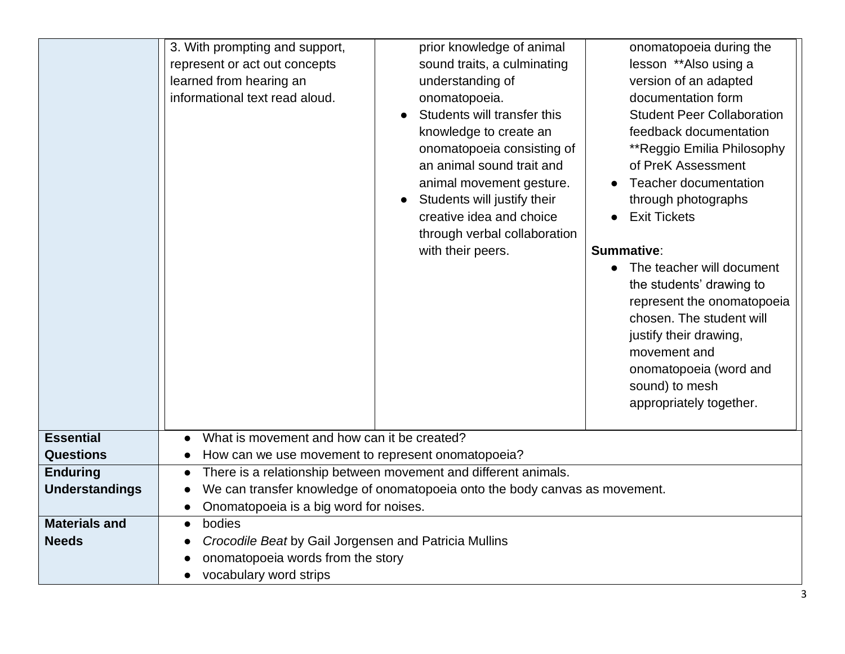|                       | 3. With prompting and support,<br>prior knowledge of animal<br>onomatopoeia during the<br>represent or act out concepts<br>sound traits, a culminating<br>lesson **Also using a<br>learned from hearing an<br>understanding of<br>version of an adapted<br>informational text read aloud.<br>documentation form<br>onomatopoeia.<br>Students will transfer this<br><b>Student Peer Collaboration</b><br>knowledge to create an<br>feedback documentation<br>onomatopoeia consisting of<br>**Reggio Emilia Philosophy<br>an animal sound trait and<br>of PreK Assessment<br>Teacher documentation<br>animal movement gesture.<br>Students will justify their<br>through photographs<br>creative idea and choice<br><b>Exit Tickets</b><br>through verbal collaboration<br>with their peers.<br>Summative:<br>• The teacher will document<br>the students' drawing to<br>represent the onomatopoeia<br>chosen. The student will<br>justify their drawing,<br>movement and<br>onomatopoeia (word and<br>sound) to mesh<br>appropriately together. |  |  |
|-----------------------|------------------------------------------------------------------------------------------------------------------------------------------------------------------------------------------------------------------------------------------------------------------------------------------------------------------------------------------------------------------------------------------------------------------------------------------------------------------------------------------------------------------------------------------------------------------------------------------------------------------------------------------------------------------------------------------------------------------------------------------------------------------------------------------------------------------------------------------------------------------------------------------------------------------------------------------------------------------------------------------------------------------------------------------------|--|--|
| <b>Essential</b>      | What is movement and how can it be created?<br>$\bullet$                                                                                                                                                                                                                                                                                                                                                                                                                                                                                                                                                                                                                                                                                                                                                                                                                                                                                                                                                                                       |  |  |
| <b>Questions</b>      | How can we use movement to represent onomatopoeia?                                                                                                                                                                                                                                                                                                                                                                                                                                                                                                                                                                                                                                                                                                                                                                                                                                                                                                                                                                                             |  |  |
| <b>Enduring</b>       | There is a relationship between movement and different animals.<br>$\bullet$                                                                                                                                                                                                                                                                                                                                                                                                                                                                                                                                                                                                                                                                                                                                                                                                                                                                                                                                                                   |  |  |
| <b>Understandings</b> | We can transfer knowledge of onomatopoeia onto the body canvas as movement.                                                                                                                                                                                                                                                                                                                                                                                                                                                                                                                                                                                                                                                                                                                                                                                                                                                                                                                                                                    |  |  |
|                       | Onomatopoeia is a big word for noises.<br>$\bullet$                                                                                                                                                                                                                                                                                                                                                                                                                                                                                                                                                                                                                                                                                                                                                                                                                                                                                                                                                                                            |  |  |
| <b>Materials and</b>  | bodies<br>$\bullet$                                                                                                                                                                                                                                                                                                                                                                                                                                                                                                                                                                                                                                                                                                                                                                                                                                                                                                                                                                                                                            |  |  |
| <b>Needs</b>          | Crocodile Beat by Gail Jorgensen and Patricia Mullins                                                                                                                                                                                                                                                                                                                                                                                                                                                                                                                                                                                                                                                                                                                                                                                                                                                                                                                                                                                          |  |  |
|                       | onomatopoeia words from the story                                                                                                                                                                                                                                                                                                                                                                                                                                                                                                                                                                                                                                                                                                                                                                                                                                                                                                                                                                                                              |  |  |
|                       | vocabulary word strips                                                                                                                                                                                                                                                                                                                                                                                                                                                                                                                                                                                                                                                                                                                                                                                                                                                                                                                                                                                                                         |  |  |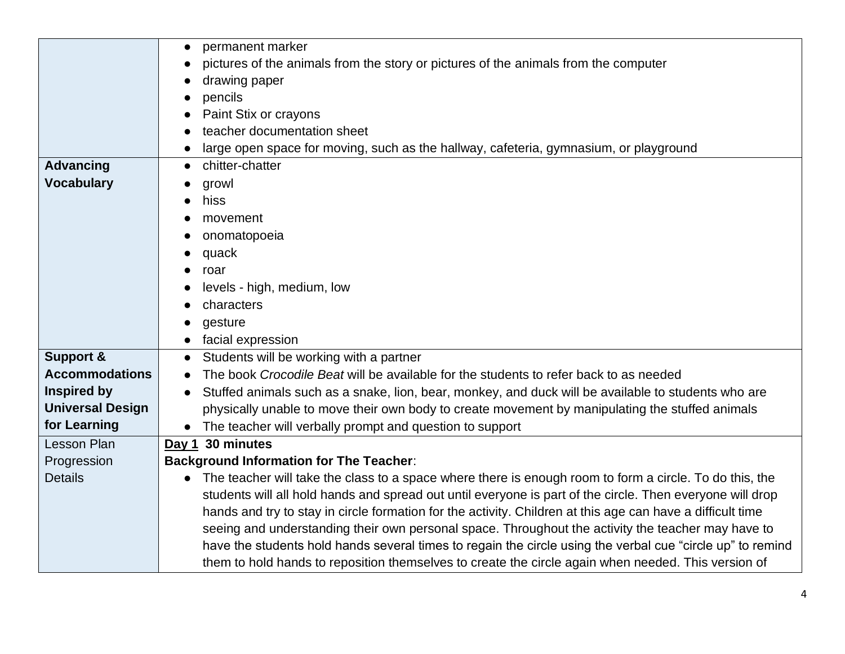|                         | permanent marker<br>$\bullet$                                                                                        |  |
|-------------------------|----------------------------------------------------------------------------------------------------------------------|--|
|                         | pictures of the animals from the story or pictures of the animals from the computer                                  |  |
|                         | drawing paper                                                                                                        |  |
|                         | pencils                                                                                                              |  |
|                         | Paint Stix or crayons                                                                                                |  |
|                         | teacher documentation sheet                                                                                          |  |
|                         | large open space for moving, such as the hallway, cafeteria, gymnasium, or playground                                |  |
| <b>Advancing</b>        | chitter-chatter<br>$\bullet$                                                                                         |  |
| <b>Vocabulary</b>       | growl                                                                                                                |  |
|                         | hiss                                                                                                                 |  |
|                         | movement                                                                                                             |  |
|                         | onomatopoeia                                                                                                         |  |
|                         | quack                                                                                                                |  |
|                         | roar                                                                                                                 |  |
|                         | levels - high, medium, low                                                                                           |  |
|                         | characters                                                                                                           |  |
|                         | gesture                                                                                                              |  |
|                         | facial expression                                                                                                    |  |
| <b>Support &amp;</b>    | Students will be working with a partner<br>$\bullet$                                                                 |  |
| <b>Accommodations</b>   | The book Crocodile Beat will be available for the students to refer back to as needed                                |  |
| <b>Inspired by</b>      | Stuffed animals such as a snake, lion, bear, monkey, and duck will be available to students who are<br>$\bullet$     |  |
| <b>Universal Design</b> | physically unable to move their own body to create movement by manipulating the stuffed animals                      |  |
| for Learning            | The teacher will verbally prompt and question to support<br>$\bullet$                                                |  |
| Lesson Plan             | Day 1 30 minutes                                                                                                     |  |
| Progression             | <b>Background Information for The Teacher:</b>                                                                       |  |
| <b>Details</b>          | The teacher will take the class to a space where there is enough room to form a circle. To do this, the<br>$\bullet$ |  |
|                         | students will all hold hands and spread out until everyone is part of the circle. Then everyone will drop            |  |
|                         | hands and try to stay in circle formation for the activity. Children at this age can have a difficult time           |  |
|                         | seeing and understanding their own personal space. Throughout the activity the teacher may have to                   |  |
|                         | have the students hold hands several times to regain the circle using the verbal cue "circle up" to remind           |  |
|                         | them to hold hands to reposition themselves to create the circle again when needed. This version of                  |  |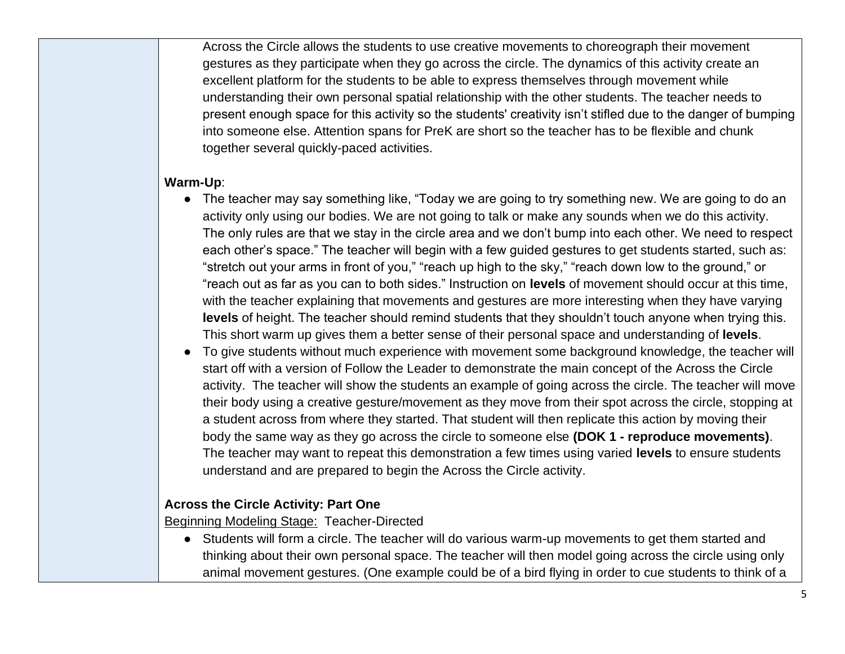Across the Circle allows the students to use creative movements to choreograph their movement gestures as they participate when they go across the circle. The dynamics of this activity create an excellent platform for the students to be able to express themselves through movement while understanding their own personal spatial relationship with the other students. The teacher needs to present enough space for this activity so the students' creativity isn't stifled due to the danger of bumping into someone else. Attention spans for PreK are short so the teacher has to be flexible and chunk together several quickly-paced activities.

#### **Warm-Up**:

- The teacher may say something like, "Today we are going to try something new. We are going to do an activity only using our bodies. We are not going to talk or make any sounds when we do this activity. The only rules are that we stay in the circle area and we don't bump into each other. We need to respect each other's space." The teacher will begin with a few guided gestures to get students started, such as: "stretch out your arms in front of you," "reach up high to the sky," "reach down low to the ground," or "reach out as far as you can to both sides." Instruction on **levels** of movement should occur at this time, with the teacher explaining that movements and gestures are more interesting when they have varying **levels** of height. The teacher should remind students that they shouldn't touch anyone when trying this. This short warm up gives them a better sense of their personal space and understanding of **levels**.
- To give students without much experience with movement some background knowledge, the teacher will start off with a version of Follow the Leader to demonstrate the main concept of the Across the Circle activity. The teacher will show the students an example of going across the circle. The teacher will move their body using a creative gesture/movement as they move from their spot across the circle, stopping at a student across from where they started. That student will then replicate this action by moving their body the same way as they go across the circle to someone else **(DOK 1 - reproduce movements)**. The teacher may want to repeat this demonstration a few times using varied **levels** to ensure students understand and are prepared to begin the Across the Circle activity.

#### **Across the Circle Activity: Part One**

Beginning Modeling Stage: Teacher-Directed

● Students will form a circle. The teacher will do various warm-up movements to get them started and thinking about their own personal space. The teacher will then model going across the circle using only animal movement gestures. (One example could be of a bird flying in order to cue students to think of a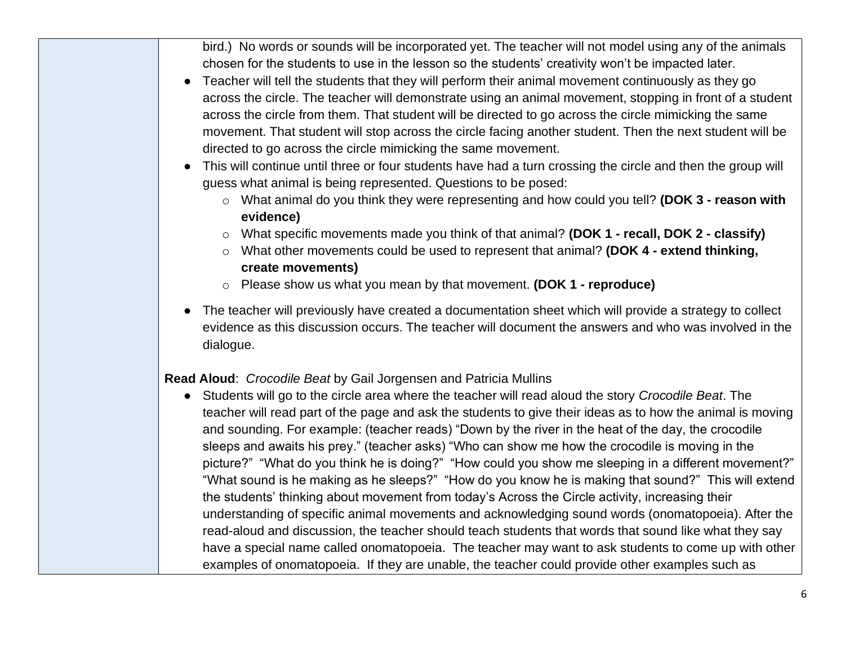bird.) No words or sounds will be incorporated yet. The teacher will not model using any of the animals chosen for the students to use in the lesson so the students' creativity won't be impacted later.

- Teacher will tell the students that they will perform their animal movement continuously as they go across the circle. The teacher will demonstrate using an animal movement, stopping in front of a student across the circle from them. That student will be directed to go across the circle mimicking the same movement. That student will stop across the circle facing another student. Then the next student will be directed to go across the circle mimicking the same movement.
- This will continue until three or four students have had a turn crossing the circle and then the group will guess what animal is being represented. Questions to be posed:
	- o What animal do you think they were representing and how could you tell? **(DOK 3 - reason with evidence)**
	- o What specific movements made you think of that animal? **(DOK 1 - recall, DOK 2 - classify)**
	- o What other movements could be used to represent that animal? **(DOK 4 - extend thinking, create movements)**
	- o Please show us what you mean by that movement. **(DOK 1 - reproduce)**
- The teacher will previously have created a documentation sheet which will provide a strategy to collect evidence as this discussion occurs. The teacher will document the answers and who was involved in the dialogue.

**Read Aloud**: *Crocodile Beat* by Gail Jorgensen and Patricia Mullins

● Students will go to the circle area where the teacher will read aloud the story *Crocodile Beat*. The teacher will read part of the page and ask the students to give their ideas as to how the animal is moving and sounding. For example: (teacher reads) "Down by the river in the heat of the day, the crocodile sleeps and awaits his prey." (teacher asks) "Who can show me how the crocodile is moving in the picture?" "What do you think he is doing?" "How could you show me sleeping in a different movement?" "What sound is he making as he sleeps?" "How do you know he is making that sound?" This will extend the students' thinking about movement from today's Across the Circle activity, increasing their understanding of specific animal movements and acknowledging sound words (onomatopoeia). After the read-aloud and discussion, the teacher should teach students that words that sound like what they say have a special name called onomatopoeia. The teacher may want to ask students to come up with other examples of onomatopoeia. If they are unable, the teacher could provide other examples such as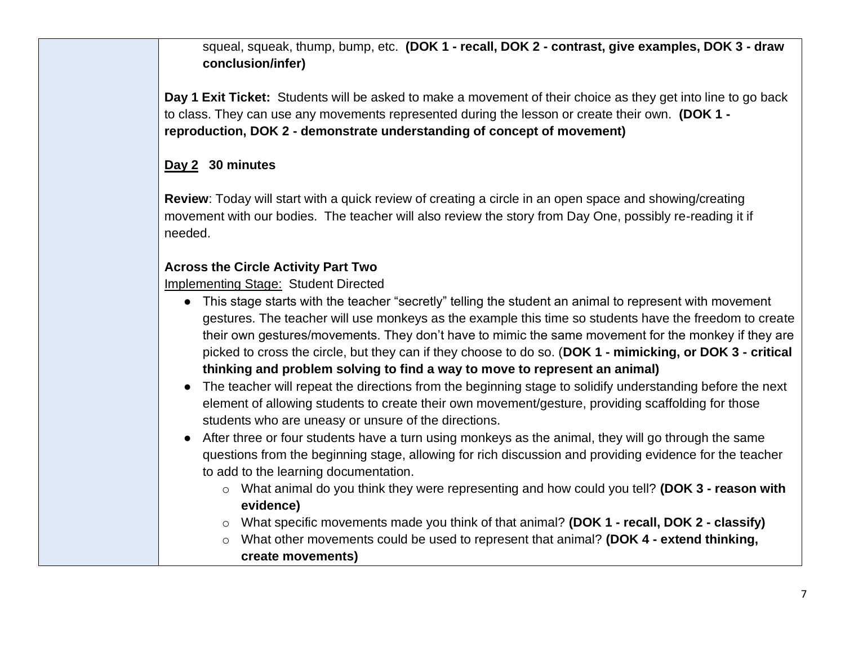squeal, squeak, thump, bump, etc. **(DOK 1 - recall, DOK 2 - contrast, give examples, DOK 3 - draw conclusion/infer)**

**Day 1 Exit Ticket:** Students will be asked to make a movement of their choice as they get into line to go back to class. They can use any movements represented during the lesson or create their own. **(DOK 1 reproduction, DOK 2 - demonstrate understanding of concept of movement)**

## **Day 2 30 minutes**

**Review**: Today will start with a quick review of creating a circle in an open space and showing/creating movement with our bodies. The teacher will also review the story from Day One, possibly re-reading it if needed.

## **Across the Circle Activity Part Two**

Implementing Stage: Student Directed

- This stage starts with the teacher "secretly" telling the student an animal to represent with movement gestures. The teacher will use monkeys as the example this time so students have the freedom to create their own gestures/movements. They don't have to mimic the same movement for the monkey if they are picked to cross the circle, but they can if they choose to do so. (**DOK 1 - mimicking, or DOK 3 - critical thinking and problem solving to find a way to move to represent an animal)**
- The teacher will repeat the directions from the beginning stage to solidify understanding before the next element of allowing students to create their own movement/gesture, providing scaffolding for those students who are uneasy or unsure of the directions.
- After three or four students have a turn using monkeys as the animal, they will go through the same questions from the beginning stage, allowing for rich discussion and providing evidence for the teacher to add to the learning documentation.
	- o What animal do you think they were representing and how could you tell? **(DOK 3 - reason with evidence)**
	- o What specific movements made you think of that animal? **(DOK 1 - recall, DOK 2 - classify)**
	- o What other movements could be used to represent that animal? **(DOK 4 - extend thinking, create movements)**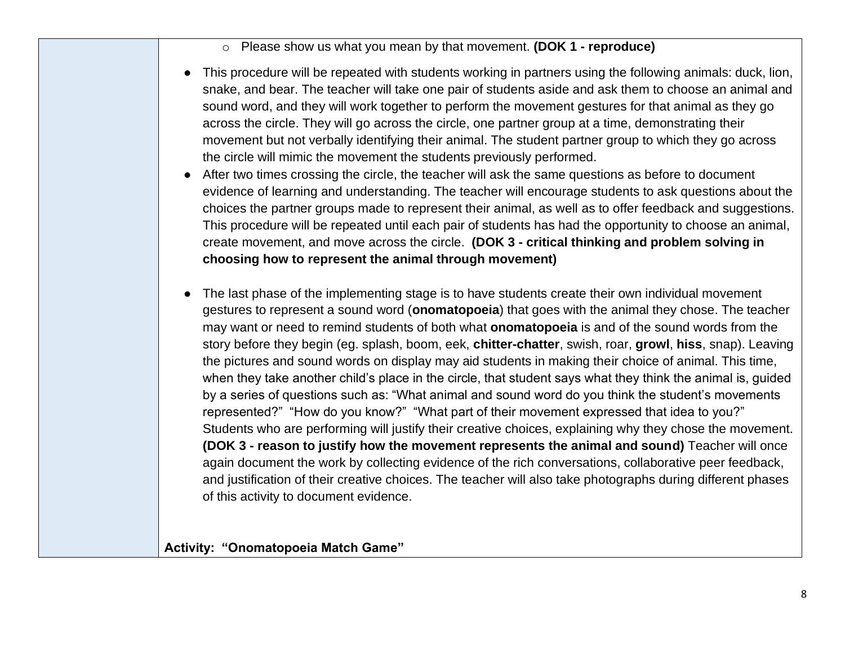o Please show us what you mean by that movement. **(DOK 1 - reproduce)**

- This procedure will be repeated with students working in partners using the following animals: duck, lion, snake, and bear. The teacher will take one pair of students aside and ask them to choose an animal and sound word, and they will work together to perform the movement gestures for that animal as they go across the circle. They will go across the circle, one partner group at a time, demonstrating their movement but not verbally identifying their animal. The student partner group to which they go across the circle will mimic the movement the students previously performed.
- After two times crossing the circle, the teacher will ask the same questions as before to document evidence of learning and understanding. The teacher will encourage students to ask questions about the choices the partner groups made to represent their animal, as well as to offer feedback and suggestions. This procedure will be repeated until each pair of students has had the opportunity to choose an animal, create movement, and move across the circle. **(DOK 3 - critical thinking and problem solving in choosing how to represent the animal through movement)**
- The last phase of the implementing stage is to have students create their own individual movement gestures to represent a sound word (**onomatopoeia**) that goes with the animal they chose. The teacher may want or need to remind students of both what **onomatopoeia** is and of the sound words from the story before they begin (eg. splash, boom, eek, **chitter-chatter**, swish, roar, **growl**, **hiss**, snap). Leaving the pictures and sound words on display may aid students in making their choice of animal. This time, when they take another child's place in the circle, that student says what they think the animal is, guided by a series of questions such as: "What animal and sound word do you think the student's movements represented?" "How do you know?" "What part of their movement expressed that idea to you?" Students who are performing will justify their creative choices, explaining why they chose the movement. **(DOK 3 - reason to justify how the movement represents the animal and sound)** Teacher will once again document the work by collecting evidence of the rich conversations, collaborative peer feedback, and justification of their creative choices. The teacher will also take photographs during different phases of this activity to document evidence.

**Activity: "Onomatopoeia Match Game"**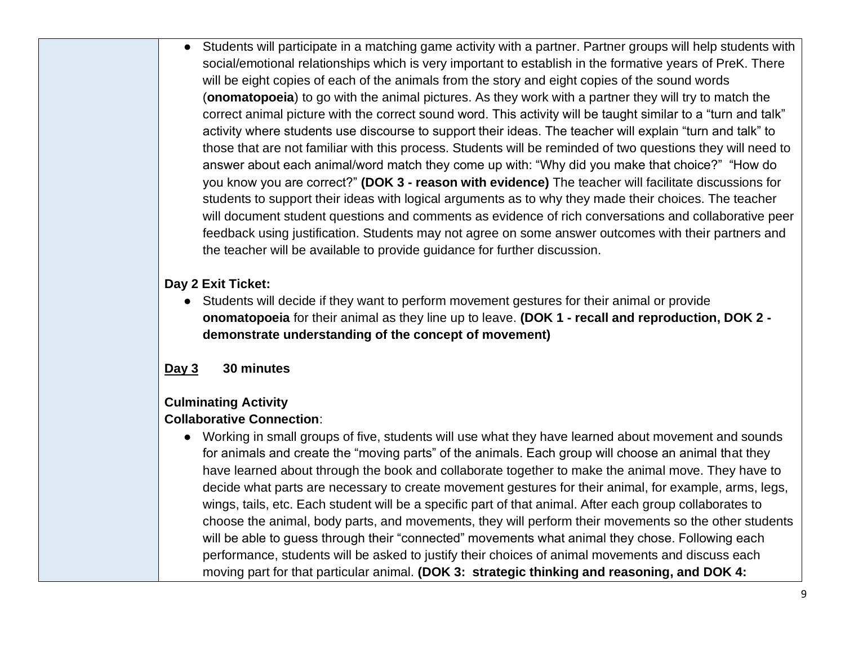● Students will participate in a matching game activity with a partner. Partner groups will help students with social/emotional relationships which is very important to establish in the formative years of PreK. There will be eight copies of each of the animals from the story and eight copies of the sound words (**onomatopoeia**) to go with the animal pictures. As they work with a partner they will try to match the correct animal picture with the correct sound word. This activity will be taught similar to a "turn and talk" activity where students use discourse to support their ideas. The teacher will explain "turn and talk" to those that are not familiar with this process. Students will be reminded of two questions they will need to answer about each animal/word match they come up with: "Why did you make that choice?" "How do you know you are correct?" **(DOK 3 - reason with evidence)** The teacher will facilitate discussions for students to support their ideas with logical arguments as to why they made their choices. The teacher will document student questions and comments as evidence of rich conversations and collaborative peer feedback using justification. Students may not agree on some answer outcomes with their partners and the teacher will be available to provide guidance for further discussion.

**Day 2 Exit Ticket:**

● Students will decide if they want to perform movement gestures for their animal or provide **onomatopoeia** for their animal as they line up to leave. **(DOK 1 - recall and reproduction, DOK 2 demonstrate understanding of the concept of movement)**

# **Day 3 30 minutes**

# **Culminating Activity**

# **Collaborative Connection**:

● Working in small groups of five, students will use what they have learned about movement and sounds for animals and create the "moving parts" of the animals. Each group will choose an animal that they have learned about through the book and collaborate together to make the animal move. They have to decide what parts are necessary to create movement gestures for their animal, for example, arms, legs, wings, tails, etc. Each student will be a specific part of that animal. After each group collaborates to choose the animal, body parts, and movements, they will perform their movements so the other students will be able to guess through their "connected" movements what animal they chose. Following each performance, students will be asked to justify their choices of animal movements and discuss each moving part for that particular animal. **(DOK 3: strategic thinking and reasoning, and DOK 4:**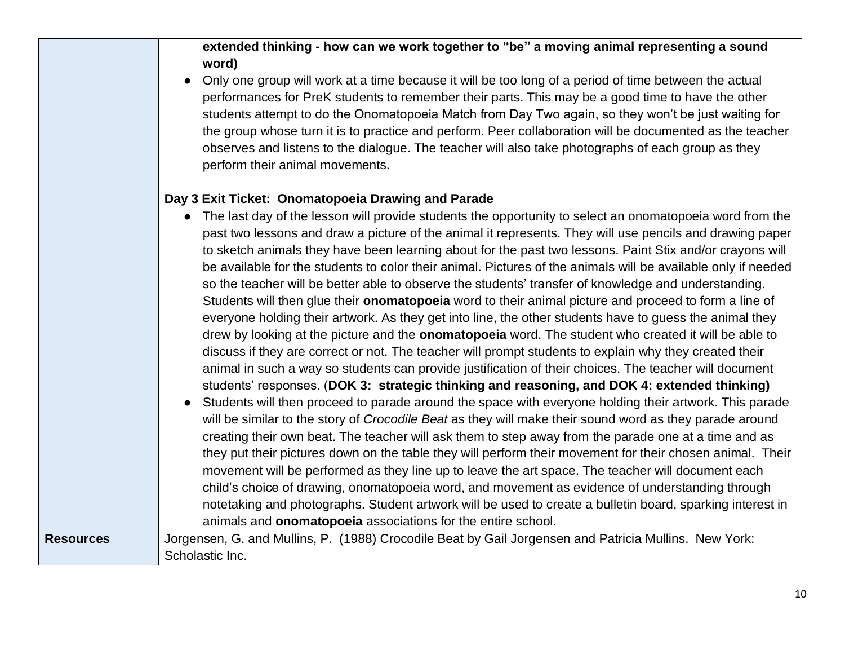## **extended thinking - how can we work together to "be" a moving animal representing a sound word)**

● Only one group will work at a time because it will be too long of a period of time between the actual performances for PreK students to remember their parts. This may be a good time to have the other students attempt to do the Onomatopoeia Match from Day Two again, so they won't be just waiting for the group whose turn it is to practice and perform. Peer collaboration will be documented as the teacher observes and listens to the dialogue. The teacher will also take photographs of each group as they perform their animal movements.

#### **Day 3 Exit Ticket: Onomatopoeia Drawing and Parade**

- The last day of the lesson will provide students the opportunity to select an onomatopoeia word from the past two lessons and draw a picture of the animal it represents. They will use pencils and drawing paper to sketch animals they have been learning about for the past two lessons. Paint Stix and/or crayons will be available for the students to color their animal. Pictures of the animals will be available only if needed so the teacher will be better able to observe the students' transfer of knowledge and understanding. Students will then glue their **onomatopoeia** word to their animal picture and proceed to form a line of everyone holding their artwork. As they get into line, the other students have to guess the animal they drew by looking at the picture and the **onomatopoeia** word. The student who created it will be able to discuss if they are correct or not. The teacher will prompt students to explain why they created their animal in such a way so students can provide justification of their choices. The teacher will document students' responses. (**DOK 3: strategic thinking and reasoning, and DOK 4: extended thinking)**
- Students will then proceed to parade around the space with everyone holding their artwork. This parade will be similar to the story of *Crocodile Beat* as they will make their sound word as they parade around creating their own beat. The teacher will ask them to step away from the parade one at a time and as they put their pictures down on the table they will perform their movement for their chosen animal. Their movement will be performed as they line up to leave the art space. The teacher will document each child's choice of drawing, onomatopoeia word, and movement as evidence of understanding through notetaking and photographs. Student artwork will be used to create a bulletin board, sparking interest in animals and **onomatopoeia** associations for the entire school. Resources Jorgensen, G. and Mullins, P. (1988) Crocodile Beat by Gail Jorgensen and Patricia Mullins. New York: Scholastic Inc.